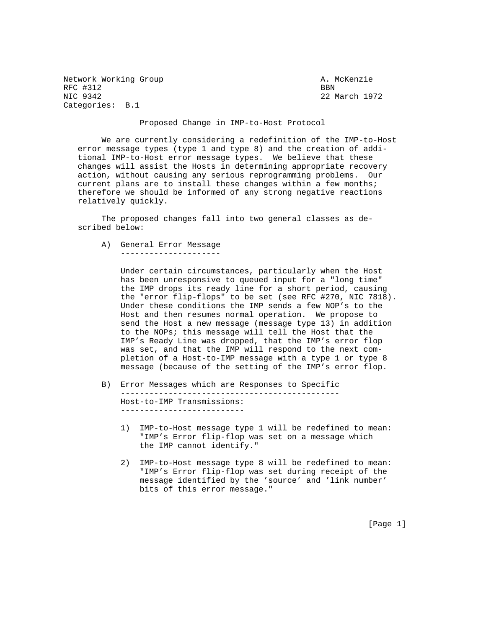Network Working Group and Month Communications of the McKenzie RFC #312 BBN 8581 BBN 8581 BBN 8581 BBN 8581 BBN 8581 BBN 8581 BBN 8581 BBN 8581 BBN 8581 BBN 8581 BBN 8581 BBN 8581 BBN 8581 BBN 8581 BBN 8581 BBN 8581 BBN 8581 BBN 8581 BBN 8581 BBN 8581 BBN 8581 BBN 8581 BBN 8581 BBN 85 Categories: B.1

22 March 1972

## Proposed Change in IMP-to-Host Protocol

 We are currently considering a redefinition of the IMP-to-Host error message types (type 1 and type 8) and the creation of addi tional IMP-to-Host error message types. We believe that these changes will assist the Hosts in determining appropriate recovery action, without causing any serious reprogramming problems. Our current plans are to install these changes within a few months; therefore we should be informed of any strong negative reactions relatively quickly.

 The proposed changes fall into two general classes as de scribed below:

 A) General Error Message ---------------------

> Under certain circumstances, particularly when the Host has been unresponsive to queued input for a "long time" the IMP drops its ready line for a short period, causing the "error flip-flops" to be set (see RFC #270, NIC 7818). Under these conditions the IMP sends a few NOP's to the Host and then resumes normal operation. We propose to send the Host a new message (message type 13) in addition to the NOPs; this message will tell the Host that the IMP's Ready Line was dropped, that the IMP's error flop was set, and that the IMP will respond to the next com pletion of a Host-to-IMP message with a type 1 or type 8 message (because of the setting of the IMP's error flop.

 B) Error Messages which are Responses to Specific ---------------------------------------------- Host-to-IMP Transmissions: --------------------------

- 1) IMP-to-Host message type 1 will be redefined to mean: "IMP's Error flip-flop was set on a message which the IMP cannot identify."
- 2) IMP-to-Host message type 8 will be redefined to mean: "IMP's Error flip-flop was set during receipt of the message identified by the 'source' and 'link number' bits of this error message."

[Page 1]